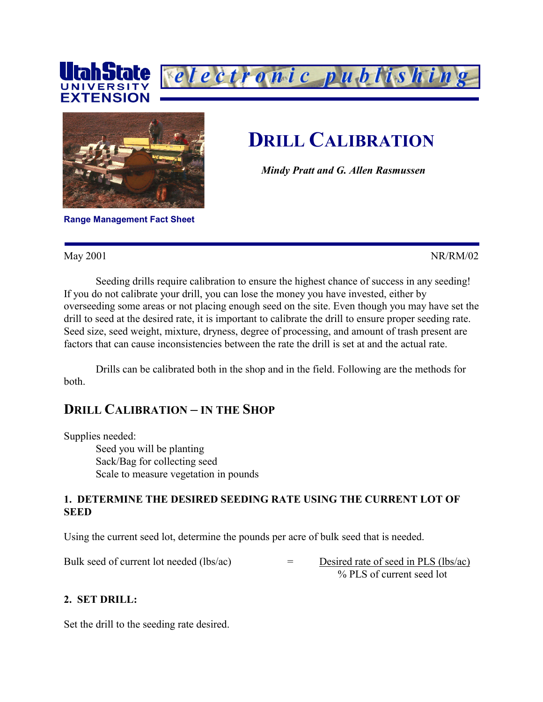



electronic publishin

*Mindy Pratt and G. Allen Rasmussen*

**Range Management Fact Sheet** 

May 2001 NR/RM/02

Seeding drills require calibration to ensure the highest chance of success in any seeding! If you do not calibrate your drill, you can lose the money you have invested, either by overseeding some areas or not placing enough seed on the site. Even though you may have set the drill to seed at the desired rate, it is important to calibrate the drill to ensure proper seeding rate. Seed size, seed weight, mixture, dryness, degree of processing, and amount of trash present are factors that can cause inconsistencies between the rate the drill is set at and the actual rate.

Drills can be calibrated both in the shop and in the field. Following are the methods for both.

# **DRILL CALIBRATION – IN THE SHOP**

Supplies needed: Seed you will be planting Sack/Bag for collecting seed Scale to measure vegetation in pounds

#### **1. DETERMINE THE DESIRED SEEDING RATE USING THE CURRENT LOT OF SEED**

Using the current seed lot, determine the pounds per acre of bulk seed that is needed.

Bulk seed of current lot needed (lbs/ac)  $=$  Desired rate of seed in PLS (lbs/ac)

% PLS of current seed lot

#### **2. SET DRILL:**

Set the drill to the seeding rate desired.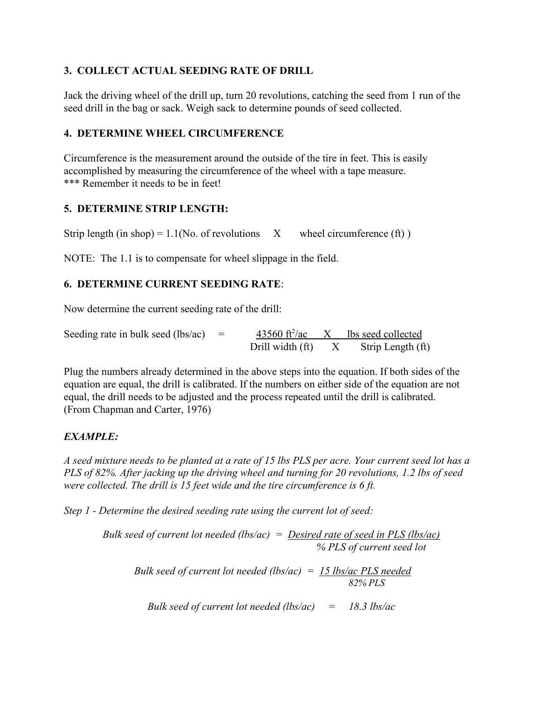## **3. COLLECT ACTUAL SEEDING RATE OF DRILL**

Jack the driving wheel of the drill up, turn 20 revolutions, catching the seed from 1 run of the seed drill in the bag or sack. Weigh sack to determine pounds of seed collected.

## **4. DETERMINE WHEEL CIRCUMFERENCE**

Circumference is the measurement around the outside of the tire in feet. This is easily accomplished by measuring the circumference of the wheel with a tape measure. \*\*\* Remember it needs to be in feet!

### **5. DETERMINE STRIP LENGTH:**

Strip length (in shop) =  $1.1$ (No. of revolutions X wheel circumference (ft))

NOTE: The 1.1 is to compensate for wheel slippage in the field.

### **6. DETERMINE CURRENT SEEDING RATE**:

Now determine the current seeding rate of the drill:

Seeding rate in bulk seed (lbs/ac)  $=$ 43560 ft<sup>2</sup>/ac  $X$  lbs seed collected Drill width  $(ft)$   $X$  Strip Length  $(ft)$ 

Plug the numbers already determined in the above steps into the equation. If both sides of the equation are equal, the drill is calibrated. If the numbers on either side of the equation are not equal, the drill needs to be adjusted and the process repeated until the drill is calibrated. (From Chapman and Carter, 1976)

# *EXAMPLE:*

*A seed mixture needs to be planted at a rate of 15 lbs PLS per acre. Your current seed lot has a PLS of 82%. After jacking up the driving wheel and turning for 20 revolutions, 1.2 lbs of seed were collected. The drill is 15 feet wide and the tire circumference is 6 ft.*

*Step 1 - Determine the desired seeding rate using the current lot of seed:*

*Bulk seed of current lot needed (lbs/ac) = Desired rate of seed in PLS (lbs/ac) % PLS of current seed lot Bulk seed of current lot needed (lbs/ac) = 15 lbs/ac PLS needed 82% PLS*

*Bulk seed of current lot needed (lbs/ac) = 18.3 lbs/ac*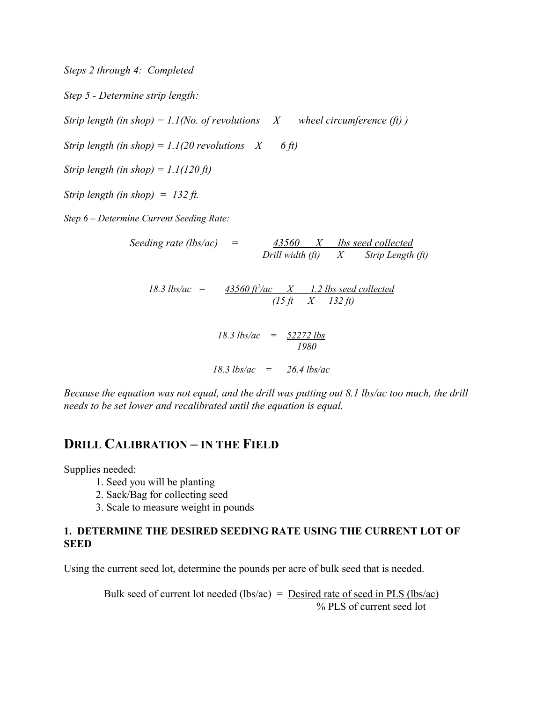*Steps 2 through 4: Completed Step 5 - Determine strip length: Strip length (in shop)* =  $1.1$ *(No. of revolutions X wheel circumference (ft) ) Strip length (in shop)* =  $1.1(20$  *revolutions*  $X$  6 ft) *Strip length (in shop) = 1.1(120 ft) Strip length (in shop) = 132 ft. Step 6 – Determine Current Seeding Rate: Seeding rate (lbs/ac) = 43560 X lbs seed collected Drill width (ft) X Strip Length (ft)*  $18.3$  lbs/ac =  $43560$  ft<sup>2</sup>/ac  $X$  1.2 lbs seed collected  *(15 ft X 132 ft) 18.3 lbs/ac = 52272 lbs*

*18.3 lbs/ac = 26.4 lbs/ac*

 *1980*

*Because the equation was not equal, and the drill was putting out 8.1 lbs/ac too much, the drill needs to be set lower and recalibrated until the equation is equal.*

# **DRILL CALIBRATION – IN THE FIELD**

Supplies needed:

- 1. Seed you will be planting
- 2. Sack/Bag for collecting seed
- 3. Scale to measure weight in pounds

#### **1. DETERMINE THE DESIRED SEEDING RATE USING THE CURRENT LOT OF SEED**

Using the current seed lot, determine the pounds per acre of bulk seed that is needed.

Bulk seed of current lot needed (lbs/ac) = <u>Desired rate of seed in PLS (lbs/ac)</u> % PLS of current seed lot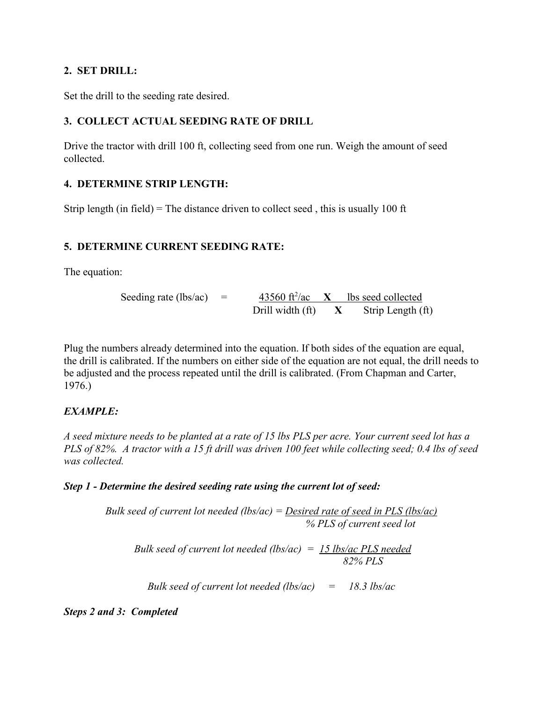### **2. SET DRILL:**

Set the drill to the seeding rate desired.

# **3. COLLECT ACTUAL SEEDING RATE OF DRILL**

Drive the tractor with drill 100 ft, collecting seed from one run. Weigh the amount of seed collected.

# **4. DETERMINE STRIP LENGTH:**

Strip length (in field) = The distance driven to collect seed, this is usually 100 ft

# **5. DETERMINE CURRENT SEEDING RATE:**

The equation:

Seeding rate (lbs/ac) = 
$$
\frac{43560 \text{ ft}^2/\text{ac}}{20 \text{ ft}^2/\text{ac}} \times \frac{1 \text{bs seed collected}}{20 \text{ ft}^2/\text{ac}} \times \frac{1 \text{bs seed collected}}{20 \text{ ft}^2/\text{ac}} \times \frac{1 \text{bs seed collected}}{20 \text{ ft}^2/\text{ac}} \times \frac{1 \text{bs seed collected}}{20 \text{ ft}^2/\text{ac}} \times \frac{1 \text{bs seed collected}}{20 \text{ ft}^2/\text{ac}} \times \frac{1 \text{bs seed collected}}{20 \text{ ft}^2/\text{ac}} \times \frac{1 \text{bs seed collected}}{20 \text{ ft}^2/\text{ac}} \times \frac{1 \text{bs seed collected}}{20 \text{ ft}^2/\text{ac}} \times \frac{1 \text{bs seed collected}}{20 \text{ ft}^2/\text{ac}} \times \frac{1 \text{bs seed collected}}{20 \text{ ft}^2/\text{ac}} \times \frac{1 \text{bs seed collected}}{20 \text{ ft}^2/\text{ac}} \times \frac{1 \text{bs seed collected}}{20 \text{ ft}^2/\text{ac}} \times \frac{1 \text{bs seed collected}}{20 \text{ ft}^2/\text{ac}} \times \frac{1 \text{bs seed collected}}{20 \text{ ft}^2/\text{ac}} \times \frac{1 \text{bs seed collected}}{20 \text{ ft}^2/\text{ac}} \times \frac{1 \text{bs seed collected}}{20 \text{ ft}^2/\text{ac}} \times \frac{1 \text{bs seed collected}}{20 \text{ ft}^2/\text{ac}} \times \frac{1 \text{bs seed collected}}{20 \text{ ft}^2/\text{ac}} \times \frac{1 \text{bs seed collected}}{20 \text{ ft}^2/\text{ac}} \times \frac{1 \text{bs sed collected}}{20 \text{ ft}^2/\text{ac}} \times \frac{1 \text{bs sed collected}}{20 \text{ ft}^2/\text{ac}} \times \frac{1 \text{bs sed collected}}{20 \text{ ft}^2/\text{ca}} \times \frac{1 \text{bs sed collected}}{20 \text{ ft}^2/\text{ca}} \times \frac{1 \text{bs sed collected}}{20 \text{ ft}^2/\text{ca}} \times \frac{1 \text{bs sed collected}}{20 \text{ ft}^2/\text{ca}} \times \frac{1 \text{bs sed collected}}
$$

Plug the numbers already determined into the equation. If both sides of the equation are equal, the drill is calibrated. If the numbers on either side of the equation are not equal, the drill needs to be adjusted and the process repeated until the drill is calibrated. (From Chapman and Carter, 1976.)

# *EXAMPLE:*

*A seed mixture needs to be planted at a rate of 15 lbs PLS per acre. Your current seed lot has a PLS of 82%. A tractor with a 15 ft drill was driven 100 feet while collecting seed; 0.4 lbs of seed was collected.* 

# *Step 1 - Determine the desired seeding rate using the current lot of seed:*

*Bulk seed of current lot needed (lbs/ac) = Desired rate of seed in PLS (lbs/ac) % PLS of current seed lot*

*Bulk seed of current lot needed (lbs/ac) = 15 lbs/ac PLS needed 82% PLS*

*Bulk seed of current lot needed (lbs/ac) = 18.3 lbs/ac*

*Steps 2 and 3: Completed*